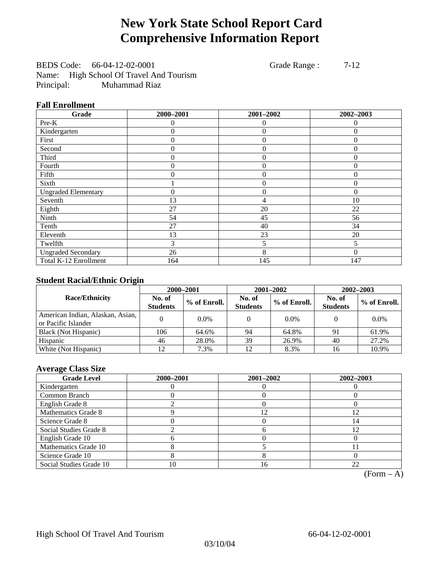## **New York State School Report Card Comprehensive Information Report**

BEDS Code: 66-04-12-02-0001 Grade Range : 7-12 Name: High School Of Travel And Tourism Principal: Muhammad Riaz

## **Fall Enrollment**

| Grade                      | 2000-2001 | 2001-2002        | 2002-2003 |
|----------------------------|-----------|------------------|-----------|
| Pre-K                      | 0         | 0                | $\theta$  |
| Kindergarten               | 0         | $\theta$         | 0         |
| First                      | 0         | $\overline{0}$   | $\Omega$  |
| Second                     | 0         | $\theta$         | 0         |
| Third                      | 0         | $\overline{0}$   | 0         |
| Fourth                     | 0         | $\overline{0}$   | $\Omega$  |
| Fifth                      | 0         | $\overline{0}$   | $\Omega$  |
| Sixth                      |           | $\boldsymbol{0}$ | $\Omega$  |
| <b>Ungraded Elementary</b> | 0         | $\mathbf{0}$     | $\theta$  |
| Seventh                    | 13        | 4                | 10        |
| Eighth                     | 27        | 20               | 22        |
| Ninth                      | 54        | 45               | 56        |
| Tenth                      | 27        | 40               | 34        |
| Eleventh                   | 13        | 23               | 20        |
| Twelfth                    | 3         | 5                | 5         |
| <b>Ungraded Secondary</b>  | 26        | 8                | $\Omega$  |
| Total K-12 Enrollment      | 164       | 145              | 147       |

## **Student Racial/Ethnic Origin**

|                                                         | 2000-2001                 |              |                           | $2001 - 2002$ | $2002 - 2003$             |                |  |
|---------------------------------------------------------|---------------------------|--------------|---------------------------|---------------|---------------------------|----------------|--|
| <b>Race/Ethnicity</b>                                   | No. of<br><b>Students</b> | % of Enroll. | No. of<br><b>Students</b> | % of Enroll.  | No. of<br><b>Students</b> | $%$ of Enroll. |  |
| American Indian, Alaskan, Asian,<br>or Pacific Islander |                           | $0.0\%$      |                           | $0.0\%$       |                           | $0.0\%$        |  |
| Black (Not Hispanic)                                    | 106                       | 64.6%        | 94                        | 64.8%         | 91                        | 61.9%          |  |
| Hispanic                                                | 46                        | 28.0%        | 39                        | 26.9%         | 40                        | 27.2%          |  |
| White (Not Hispanic)                                    | 12                        | 7.3%         | 12                        | 8.3%          | 16                        | 10.9%          |  |

## **Average Class Size**

| <b>Grade Level</b>      | 2000-2001 | 2001-2002 | 2002-2003 |
|-------------------------|-----------|-----------|-----------|
| Kindergarten            |           |           |           |
| Common Branch           |           |           |           |
| English Grade 8         |           |           |           |
| Mathematics Grade 8     |           |           | 12        |
| Science Grade 8         |           |           | 14        |
| Social Studies Grade 8  |           | n         | 12        |
| English Grade 10        |           |           |           |
| Mathematics Grade 10    |           |           |           |
| Science Grade 10        |           |           |           |
| Social Studies Grade 10 | 10        | 16        | 22        |

 $(Form - A)$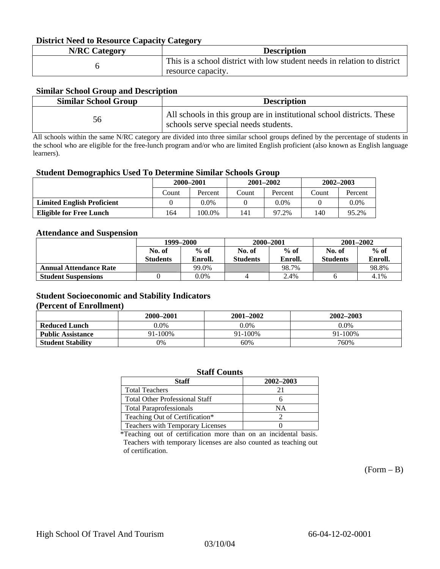### **District Need to Resource Capacity Category**

| <b>N/RC Category</b> | <b>Description</b>                                                                             |
|----------------------|------------------------------------------------------------------------------------------------|
|                      | This is a school district with low student needs in relation to district<br>resource capacity. |

### **Similar School Group and Description**

| <b>Similar School Group</b> | <b>Description</b>                                                                                              |
|-----------------------------|-----------------------------------------------------------------------------------------------------------------|
| 56                          | All schools in this group are in institutional school districts. These<br>schools serve special needs students. |

All schools within the same N/RC category are divided into three similar school groups defined by the percentage of students in the school who are eligible for the free-lunch program and/or who are limited English proficient (also known as English language learners).

### **Student Demographics Used To Determine Similar Schools Group**

| 0                                 |           |         |       |               |               |         |
|-----------------------------------|-----------|---------|-------|---------------|---------------|---------|
|                                   | 2000-2001 |         |       | $2001 - 2002$ | $2002 - 2003$ |         |
|                                   | Count     | Percent | Count | Percent       | Count         | Percent |
| <b>Limited English Proficient</b> |           | $0.0\%$ |       | $0.0\%$       |               | $0.0\%$ |
| <b>Eligible for Free Lunch</b>    | 164       | 100.0%  | 141   | 97.2%         | 140           | 95.2%   |

### **Attendance and Suspension**

|                               | 1999–2000       |         |                 | 2000-2001 | $2001 - 2002$   |         |  |
|-------------------------------|-----------------|---------|-----------------|-----------|-----------------|---------|--|
|                               | No. of          | $%$ of  | No. of          | $%$ of    | No. of          | $%$ of  |  |
|                               | <b>Students</b> | Enroll. | <b>Students</b> | Enroll.   | <b>Students</b> | Enroll. |  |
| <b>Annual Attendance Rate</b> |                 | 99.0%   |                 | 98.7%     |                 | 98.8%   |  |
| <b>Student Suspensions</b>    |                 | 0.0%    |                 | 2.4%      |                 | 4.1%    |  |

## **Student Socioeconomic and Stability Indicators**

#### **(Percent of Enrollment)**

|                          | 2000–2001 | 2001-2002 | 2002-2003 |
|--------------------------|-----------|-----------|-----------|
| <b>Reduced Lunch</b>     | 9.0%      | 0.0%      | $0.0\%$   |
| <b>Public Assistance</b> | 91-100%   | 91-100%   | 91-100%   |
| <b>Student Stability</b> | 0%        | 60%       | 760%      |

#### **Staff Counts Staff 2002–2003**  Total Teachers 21 Total Other Professional Staff 6 Total Paraprofessionals NA Teaching Out of Certification\* 2 Teachers with Temporary Licenses  $\qquad \qquad \begin{array}{c} \n 0 \end{array}$

\*Teaching out of certification more than on an incidental basis. Teachers with temporary licenses are also counted as teaching out of certification.

 $(Form - B)$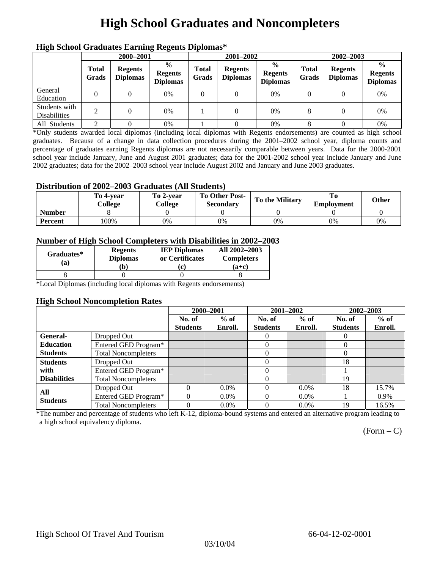# **High School Graduates and Noncompleters**

| mgn benoor Grauuates Larming Regents Diplomas |                       |                                   |                                                    |                       |                                   |                                                    |                       |                                   |                                                    |  |
|-----------------------------------------------|-----------------------|-----------------------------------|----------------------------------------------------|-----------------------|-----------------------------------|----------------------------------------------------|-----------------------|-----------------------------------|----------------------------------------------------|--|
|                                               |                       | 2000-2001                         |                                                    |                       | 2001-2002                         |                                                    |                       | 2002-2003                         |                                                    |  |
|                                               | <b>Total</b><br>Grads | <b>Regents</b><br><b>Diplomas</b> | $\frac{0}{0}$<br><b>Regents</b><br><b>Diplomas</b> | <b>Total</b><br>Grads | <b>Regents</b><br><b>Diplomas</b> | $\frac{0}{0}$<br><b>Regents</b><br><b>Diplomas</b> | <b>Total</b><br>Grads | <b>Regents</b><br><b>Diplomas</b> | $\frac{0}{0}$<br><b>Regents</b><br><b>Diplomas</b> |  |
| General<br>Education                          | $\Omega$              |                                   | 0%                                                 | 0                     |                                   | 0%                                                 |                       |                                   | 0%                                                 |  |
| Students with<br><b>Disabilities</b>          | 2                     | 0                                 | 0%                                                 |                       | $\Omega$                          | $0\%$                                              | 8                     |                                   | 0%                                                 |  |
| All Students                                  | ◠                     |                                   | 0%                                                 |                       |                                   | 0%                                                 | 8                     |                                   | 0%                                                 |  |

## **High School Graduates Earning Regents Diplomas\***

\*Only students awarded local diplomas (including local diplomas with Regents endorsements) are counted as high school graduates. Because of a change in data collection procedures during the 2001–2002 school year, diploma counts and percentage of graduates earning Regents diplomas are not necessarily comparable between years. Data for the 2000-2001 school year include January, June and August 2001 graduates; data for the 2001-2002 school year include January and June 2002 graduates; data for the 2002–2003 school year include August 2002 and January and June 2003 graduates.

## **Distribution of 2002–2003 Graduates (All Students)**

|                | To 4-vear<br>College | To 2-vear<br>College | To Other Post-<br><b>Secondary</b> | To the Military | <b>Employment</b> | Other |
|----------------|----------------------|----------------------|------------------------------------|-----------------|-------------------|-------|
| <b>Number</b>  |                      |                      |                                    |                 |                   |       |
| <b>Percent</b> | .00%                 | 0%                   | 0%                                 | 0%              | 0%                | 0%    |

## **Number of High School Completers with Disabilities in 2002–2003**

| <b>Regents</b><br>Graduates*<br><b>Diplomas</b><br>(a) |    | <b>IEP Diplomas</b><br>or Certificates | All 2002-2003<br><b>Completers</b> |  |
|--------------------------------------------------------|----|----------------------------------------|------------------------------------|--|
|                                                        | b) | c                                      | (a+c)                              |  |

\*Local Diplomas (including local diplomas with Regents endorsements)

### **High School Noncompletion Rates**

|                        |                            | 2000-2001       |         | 2001-2002       |         | 2002-2003       |         |
|------------------------|----------------------------|-----------------|---------|-----------------|---------|-----------------|---------|
|                        |                            | No. of          | $%$ of  | No. of          | $%$ of  | No. of          | $%$ of  |
|                        |                            | <b>Students</b> | Enroll. | <b>Students</b> | Enroll. | <b>Students</b> | Enroll. |
| General-               | Dropped Out                |                 |         | $\theta$        |         | $\theta$        |         |
| <b>Education</b>       | Entered GED Program*       |                 |         | $\theta$        |         | $\theta$        |         |
| <b>Students</b>        | <b>Total Noncompleters</b> |                 |         | 0               |         | 0               |         |
| <b>Students</b>        | Dropped Out                |                 |         | 0               |         | 18              |         |
| with                   | Entered GED Program*       |                 |         | $\Omega$        |         |                 |         |
| <b>Disabilities</b>    | <b>Total Noncompleters</b> |                 |         |                 |         | 19              |         |
|                        | Dropped Out                | $\Omega$        | $0.0\%$ |                 | $0.0\%$ | 18              | 15.7%   |
| All<br><b>Students</b> | Entered GED Program*       | $\Omega$        | $0.0\%$ | 0               | $0.0\%$ |                 | 0.9%    |
|                        | <b>Total Noncompleters</b> | $\Omega$        | $0.0\%$ |                 | $0.0\%$ | 19              | 16.5%   |

\*The number and percentage of students who left K-12, diploma-bound systems and entered an alternative program leading to a high school equivalency diploma.

 $(Form - C)$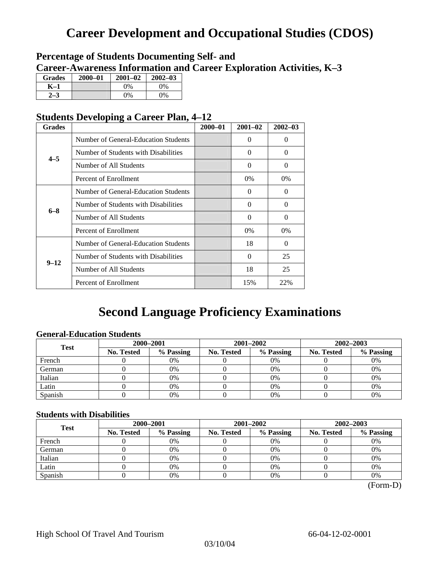# **Career Development and Occupational Studies (CDOS)**

## **Percentage of Students Documenting Self- and Career-Awareness Information and Career Exploration Activities, K–3**

| <b>Grades</b> | $2000 - 01$ | $2001 - 02$ | $2002 - 03$ |
|---------------|-------------|-------------|-------------|
| K–1           |             | $0\%$       | $0\%$       |
|               |             | $0\%$       | 0%          |

## **Students Developing a Career Plan, 4–12**

| <b>Grades</b> |                                      | $2000 - 01$ | $2001 - 02$ | $2002 - 03$ |
|---------------|--------------------------------------|-------------|-------------|-------------|
| $4 - 5$       | Number of General-Education Students |             | $\theta$    | $\theta$    |
|               | Number of Students with Disabilities |             | 0           | $\Omega$    |
|               | Number of All Students               |             | $\Omega$    | $\Omega$    |
|               | Percent of Enrollment                |             | $0\%$       | 0%          |
|               | Number of General-Education Students |             | 0           | 0           |
| $6 - 8$       | Number of Students with Disabilities |             | $\theta$    | $\Omega$    |
|               | Number of All Students               |             | $\theta$    | $\Omega$    |
|               | Percent of Enrollment                |             | $0\%$       | $0\%$       |
|               | Number of General-Education Students |             | 18          | $\Omega$    |
|               | Number of Students with Disabilities |             | $\theta$    | 25          |
| $9 - 12$      | Number of All Students               |             | 18          | 25          |
|               | Percent of Enrollment                |             | 15%         | 22%         |

## **Second Language Proficiency Examinations**

## **General-Education Students**

| <b>Test</b> | 2000-2001         |           |            | 2001–2002 | 2002-2003         |           |
|-------------|-------------------|-----------|------------|-----------|-------------------|-----------|
|             | <b>No. Tested</b> | % Passing | No. Tested | % Passing | <b>No. Tested</b> | % Passing |
| French      |                   | 0%        |            | $0\%$     |                   | 0%        |
| German      |                   | 0%        |            | 0%        |                   | 0%        |
| Italian     |                   | 0%        |            | 0%        |                   | 0%        |
| Latin       |                   | 0%        |            | 0%        |                   | 0%        |
| Spanish     |                   | 0%        |            | 0%        |                   | 0%        |

## **Students with Disabilities**

| <b>Test</b> |                   | 2000-2001 |            | 2001-2002 | 2002-2003  |           |  |
|-------------|-------------------|-----------|------------|-----------|------------|-----------|--|
|             | <b>No. Tested</b> | % Passing | No. Tested | % Passing | No. Tested | % Passing |  |
| French      |                   | 0%        |            | 0%        |            | 0%        |  |
| German      |                   | 0%        |            | $0\%$     |            | 0%        |  |
| Italian     |                   | 0%        |            | $0\%$     |            | 0%        |  |
| Latin       |                   | 0%        |            | 0%        |            | 0%        |  |
| Spanish     |                   | 0%        |            | 0%        |            | 0%        |  |

(Form-D)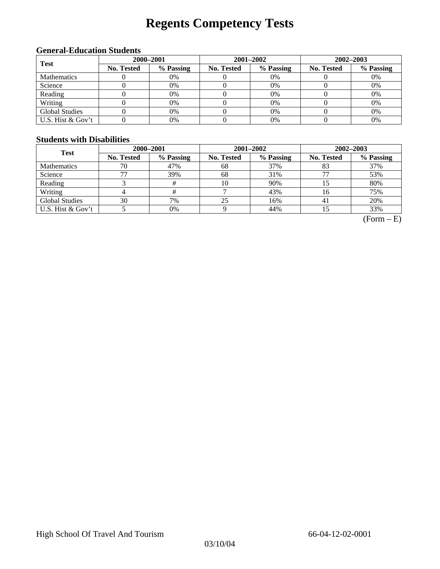# **Regents Competency Tests**

## **General-Education Students**

| <b>Test</b>           |                   | 2000-2001 |            | 2001-2002 | 2002-2003  |           |
|-----------------------|-------------------|-----------|------------|-----------|------------|-----------|
|                       | <b>No. Tested</b> | % Passing | No. Tested | % Passing | No. Tested | % Passing |
| <b>Mathematics</b>    |                   | 0%        |            | $0\%$     |            | 0%        |
| Science               |                   | 0%        |            | 0%        |            | 0%        |
| Reading               |                   | 0%        |            | $0\%$     |            | 0%        |
| Writing               |                   | 0%        |            | $0\%$     |            | 0%        |
| <b>Global Studies</b> |                   | 0%        |            | 0%        |            | 0%        |
| U.S. Hist & Gov't     |                   | 0%        |            | 0%        |            | 0%        |

### **Students with Disabilities**

| <b>Test</b>           | 2000-2001         |           |                   | 2001-2002 | 2002-2003         |           |  |
|-----------------------|-------------------|-----------|-------------------|-----------|-------------------|-----------|--|
|                       | <b>No. Tested</b> | % Passing | <b>No. Tested</b> | % Passing | <b>No. Tested</b> | % Passing |  |
| <b>Mathematics</b>    | 70                | 47%       | 68                | 37%       | 83                | 37%       |  |
| Science               |                   | 39%       | 68                | 31%       |                   | 53%       |  |
| Reading               |                   | #         | 10                | 90%       |                   | 80%       |  |
| Writing               |                   |           |                   | 43%       | 16                | 75%       |  |
| <b>Global Studies</b> | 30                | 7%        | 25                | 16%       | 4ì                | 20%       |  |
| U.S. Hist & Gov't     |                   | 0%        |                   | 44%       |                   | 33%       |  |

 $(Form - E)$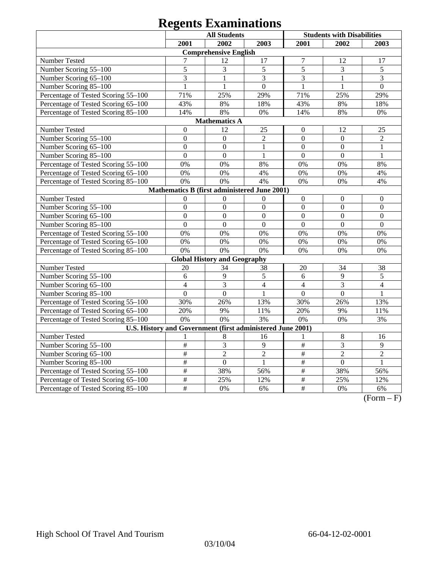# **Regents Examinations**

|                                     | <b>All Students</b>       |                                                            |                  |                  | <b>Students with Disabilities</b> |                |
|-------------------------------------|---------------------------|------------------------------------------------------------|------------------|------------------|-----------------------------------|----------------|
|                                     | 2001                      | 2002                                                       | 2003             | 2001             | 2002                              | 2003           |
|                                     |                           | <b>Comprehensive English</b>                               |                  |                  |                                   |                |
| <b>Number Tested</b>                | $\overline{7}$            | 12                                                         | 17               | $\overline{7}$   | 12                                | 17             |
| Number Scoring 55-100               | 5                         | 3                                                          | 5                | 5                | 3                                 | 5              |
| Number Scoring 65-100               | 3                         | 1                                                          | 3                | 3                | 1                                 | 3              |
| Number Scoring 85-100               | $\mathbf{1}$              | $\mathbf{1}$                                               | $\overline{0}$   | $\mathbf{1}$     | $\mathbf{1}$                      | $\overline{0}$ |
| Percentage of Tested Scoring 55-100 | 71%                       | 25%                                                        | 29%              | 71%              | 25%                               | 29%            |
| Percentage of Tested Scoring 65-100 | 43%                       | 8%                                                         | 18%              | 43%              | 8%                                | 18%            |
| Percentage of Tested Scoring 85-100 | 14%                       | 8%                                                         | 0%               | 14%              | 8%                                | 0%             |
|                                     |                           | <b>Mathematics A</b>                                       |                  |                  |                                   |                |
| Number Tested                       | $\boldsymbol{0}$          | 12                                                         | 25               | $\boldsymbol{0}$ | 12                                | 25             |
| Number Scoring 55-100               | $\boldsymbol{0}$          | $\mathbf{0}$                                               | $\overline{2}$   | $\mathbf{0}$     | $\mathbf{0}$                      | $\overline{2}$ |
| Number Scoring 65-100               | $\mathbf{0}$              | $\mathbf{0}$                                               | 1                | $\overline{0}$   | $\mathbf{0}$                      | 1              |
| Number Scoring 85-100               | $\boldsymbol{0}$          | $\boldsymbol{0}$                                           | $\mathbf{1}$     | $\boldsymbol{0}$ | $\boldsymbol{0}$                  | $\mathbf{1}$   |
| Percentage of Tested Scoring 55-100 | 0%                        | 0%                                                         | 8%               | 0%               | 0%                                | 8%             |
| Percentage of Tested Scoring 65-100 | 0%                        | 0%                                                         | 4%               | 0%               | 0%                                | 4%             |
| Percentage of Tested Scoring 85-100 | 0%                        | 0%                                                         | 4%               | 0%               | 0%                                | 4%             |
|                                     |                           | Mathematics B (first administered June 2001)               |                  |                  |                                   |                |
| Number Tested                       | $\overline{0}$            | $\mathbf{0}$                                               | $\boldsymbol{0}$ | $\boldsymbol{0}$ | $\mathbf{0}$                      | $\mathbf{0}$   |
| Number Scoring 55-100               | $\overline{0}$            | $\overline{0}$                                             | $\overline{0}$   | $\overline{0}$   | $\overline{0}$                    | $\mathbf{0}$   |
| Number Scoring 65-100               | $\overline{0}$            | $\overline{0}$                                             | $\overline{0}$   | $\overline{0}$   | $\overline{0}$                    | $\overline{0}$ |
| Number Scoring 85-100               | $\overline{0}$            | $\overline{0}$                                             | $\overline{0}$   | $\overline{0}$   | $\Omega$                          | $\Omega$       |
| Percentage of Tested Scoring 55-100 | 0%                        | 0%                                                         | 0%               | 0%               | 0%                                | 0%             |
| Percentage of Tested Scoring 65-100 | 0%                        | 0%                                                         | 0%               | 0%               | 0%                                | 0%             |
| Percentage of Tested Scoring 85-100 | 0%                        | 0%                                                         | 0%               | 0%               | 0%                                | 0%             |
|                                     |                           | <b>Global History and Geography</b>                        |                  |                  |                                   |                |
| Number Tested                       | 20                        | 34                                                         | 38               | 20               | 34                                | 38             |
| Number Scoring 55-100               | 6                         | 9                                                          | 5                | 6                | 9                                 | 5              |
| Number Scoring 65-100               | $\overline{4}$            | $\overline{3}$                                             | $\overline{4}$   | $\overline{4}$   | $\overline{3}$                    | $\overline{4}$ |
| Number Scoring 85-100               | $\overline{0}$            | $\overline{0}$                                             | 1                | $\overline{0}$   | $\mathbf{0}$                      | 1              |
| Percentage of Tested Scoring 55-100 | 30%                       | 26%                                                        | 13%              | 30%              | 26%                               | 13%            |
| Percentage of Tested Scoring 65-100 | 20%                       | 9%                                                         | 11%              | 20%              | 9%                                | 11%            |
| Percentage of Tested Scoring 85-100 | 0%                        | 0%                                                         | 3%               | 0%               | 0%                                | 3%             |
|                                     |                           | U.S. History and Government (first administered June 2001) |                  |                  |                                   |                |
| Number Tested                       |                           | 8                                                          | 16               | 1                | 8                                 | 16             |
| Number Scoring 55-100               | $\overline{\overline{H}}$ | $\overline{3}$                                             | $\overline{9}$   | #                | $\overline{3}$                    | 9              |
| Number Scoring 65-100               | $\#$                      | $\sqrt{2}$                                                 | $\overline{2}$   | #                | $\overline{2}$                    | $\overline{2}$ |
| Number Scoring 85-100               | $\#$                      | $\overline{0}$                                             | $\mathbf{1}$     | $\#$             | $\overline{0}$                    | $\mathbf{1}$   |
| Percentage of Tested Scoring 55-100 | $\overline{\#}$           | 38%                                                        | 56%              | $\overline{\#}$  | 38%                               | 56%            |
| Percentage of Tested Scoring 65-100 | #                         | 25%                                                        | 12%              | $\overline{\#}$  | 25%                               | 12%            |
| Percentage of Tested Scoring 85-100 | #                         | 0%                                                         | 6%               | #                | 0%                                | 6%             |

 $(Form - F)$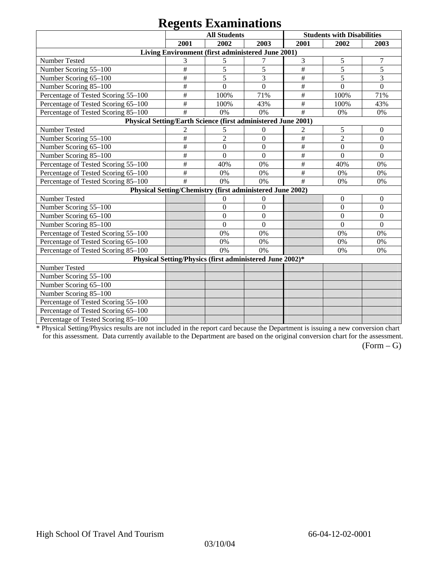# **Regents Examinations**

|                                                               |                 | <b>All Students</b>                                       |                  |                           | <b>Students with Disabilities</b> |                  |
|---------------------------------------------------------------|-----------------|-----------------------------------------------------------|------------------|---------------------------|-----------------------------------|------------------|
|                                                               | 2001            | 2002                                                      | 2003             | 2001                      | 2002                              | 2003             |
|                                                               |                 | Living Environment (first administered June 2001)         |                  |                           |                                   |                  |
| Number Tested                                                 | 3               | 5                                                         | 7                | 3                         | $\sqrt{5}$                        | 7                |
| Number Scoring 55-100                                         | #               | 5                                                         | 5                | #                         | 5                                 | 5                |
| Number Scoring 65-100                                         | $\#$            | 5                                                         | 3                | $\#$                      | 5                                 | 3                |
| Number Scoring 85-100                                         | $\#$            | $\boldsymbol{0}$                                          | $\overline{0}$   | $\#$                      | $\boldsymbol{0}$                  | $\boldsymbol{0}$ |
| Percentage of Tested Scoring 55-100                           | $\#$            | 100%                                                      | 71%              | $\#$                      | 100%                              | 71%              |
| Percentage of Tested Scoring 65-100                           | #               | 100%                                                      | 43%              | $\#$                      | 100%                              | 43%              |
| Percentage of Tested Scoring 85-100                           | #               | 0%                                                        | 0%               | #                         | 0%                                | 0%               |
| Physical Setting/Earth Science (first administered June 2001) |                 |                                                           |                  |                           |                                   |                  |
| Number Tested                                                 | $\overline{c}$  | 5                                                         | $\mathbf{0}$     | 2                         | 5                                 | $\mathbf{0}$     |
| Number Scoring 55-100                                         | #               | $\overline{2}$                                            | $\overline{0}$   | $\#$                      | $\overline{2}$                    | $\overline{0}$   |
| Number Scoring 65-100                                         | $\#$            | $\overline{0}$                                            | $\mathbf{0}$     | $\#$                      | $\mathbf{0}$                      | $\mathbf{0}$     |
| Number Scoring 85-100                                         | $\#$            | $\theta$                                                  | $\theta$         | $\#$                      | $\Omega$                          | $\Omega$         |
| Percentage of Tested Scoring 55-100                           | $\overline{\#}$ | 40%                                                       | 0%               | $\overline{\overline{H}}$ | 40%                               | 0%               |
| Percentage of Tested Scoring 65-100                           | $\#$            | 0%                                                        | 0%               | $\#$                      | 0%                                | 0%               |
| Percentage of Tested Scoring 85-100                           | #               | 0%                                                        | 0%               | #                         | 0%                                | 0%               |
|                                                               |                 | Physical Setting/Chemistry (first administered June 2002) |                  |                           |                                   |                  |
| Number Tested                                                 |                 | $\theta$                                                  | $\theta$         |                           | $\mathbf{0}$                      | $\boldsymbol{0}$ |
| Number Scoring 55-100                                         |                 | $\boldsymbol{0}$                                          | $\boldsymbol{0}$ |                           | $\mathbf{0}$                      | $\theta$         |
| Number Scoring 65-100                                         |                 | $\boldsymbol{0}$                                          | $\overline{0}$   |                           | $\boldsymbol{0}$                  | $\mathbf{0}$     |
| Number Scoring 85-100                                         |                 | $\overline{0}$                                            | $\overline{0}$   |                           | $\overline{0}$                    | $\mathbf{0}$     |
| Percentage of Tested Scoring 55-100                           |                 | 0%                                                        | 0%               |                           | 0%                                | 0%               |
| Percentage of Tested Scoring 65-100                           |                 | 0%                                                        | 0%               |                           | 0%                                | 0%               |
| Percentage of Tested Scoring 85-100                           |                 | 0%                                                        | 0%               |                           | 0%                                | 0%               |
|                                                               |                 | Physical Setting/Physics (first administered June 2002)*  |                  |                           |                                   |                  |
| Number Tested                                                 |                 |                                                           |                  |                           |                                   |                  |
| Number Scoring 55-100                                         |                 |                                                           |                  |                           |                                   |                  |
| Number Scoring 65-100                                         |                 |                                                           |                  |                           |                                   |                  |
| Number Scoring 85-100                                         |                 |                                                           |                  |                           |                                   |                  |
| Percentage of Tested Scoring 55-100                           |                 |                                                           |                  |                           |                                   |                  |
| Percentage of Tested Scoring 65-100                           |                 |                                                           |                  |                           |                                   |                  |
| Percentage of Tested Scoring 85-100                           |                 |                                                           |                  |                           |                                   |                  |

\* Physical Setting/Physics results are not included in the report card because the Department is issuing a new conversion chart for this assessment. Data currently available to the Department are based on the original conversion chart for the assessment.

 $(Form - G)$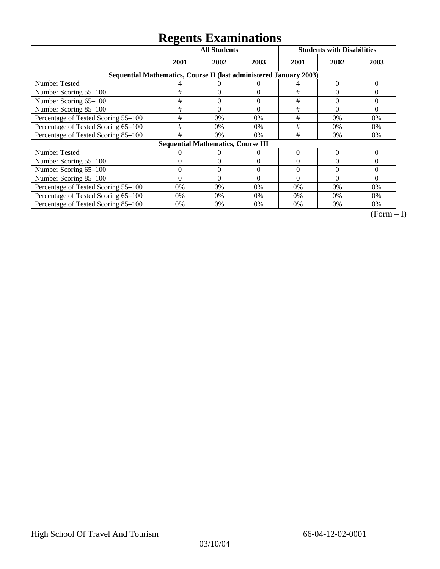# **Regents Examinations**

|                                                                    | ີ        | <b>All Students</b>                       |              |          | <b>Students with Disabilities</b> |          |  |  |
|--------------------------------------------------------------------|----------|-------------------------------------------|--------------|----------|-----------------------------------|----------|--|--|
|                                                                    | 2001     | 2002                                      | 2003         | 2001     | 2002                              | 2003     |  |  |
| Sequential Mathematics, Course II (last administered January 2003) |          |                                           |              |          |                                   |          |  |  |
| <b>Number Tested</b>                                               | 4        | $\Omega$                                  | $\Omega$     | 4        | 0                                 | $\theta$ |  |  |
| Number Scoring 55-100                                              | $\#$     | $\theta$                                  | $\theta$     | #        | $\theta$                          | 0        |  |  |
| Number Scoring 65-100                                              | #        | $\overline{0}$                            | $\mathbf{0}$ | $\#$     | $\theta$                          | $\theta$ |  |  |
| Number Scoring 85-100                                              | #        | $\theta$                                  | $\Omega$     | #        | $\Omega$                          | $\Omega$ |  |  |
| Percentage of Tested Scoring 55-100                                | $\#$     | 0%                                        | 0%           | #        | 0%                                | 0%       |  |  |
| Percentage of Tested Scoring 65-100                                | #        | $0\%$                                     | $0\%$        | #        | $0\%$                             | 0%       |  |  |
| Percentage of Tested Scoring 85-100                                | #        | 0%                                        | 0%           | #        | $0\%$                             | $0\%$    |  |  |
|                                                                    |          | <b>Sequential Mathematics, Course III</b> |              |          |                                   |          |  |  |
| <b>Number Tested</b>                                               | 0        | 0                                         | $\Omega$     | $\theta$ | $\Omega$                          | $\Omega$ |  |  |
| Number Scoring 55–100                                              | $\Omega$ | $\Omega$                                  | $\Omega$     | $\Omega$ | $\Omega$                          | $\Omega$ |  |  |
| Number Scoring 65-100                                              | $\theta$ | $\Omega$                                  | $\Omega$     | $\Omega$ | $\Omega$                          | $\Omega$ |  |  |
| Number Scoring 85-100                                              | $\Omega$ | $\Omega$                                  | $\Omega$     | $\Omega$ | $\Omega$                          | $\Omega$ |  |  |
| Percentage of Tested Scoring 55-100                                | 0%       | 0%                                        | 0%           | 0%       | $0\%$                             | $0\%$    |  |  |
| Percentage of Tested Scoring 65-100                                | 0%       | 0%                                        | 0%           | 0%       | $0\%$                             | $0\%$    |  |  |
| Percentage of Tested Scoring 85-100                                | 0%       | 0%                                        | 0%           | 0%       | $0\%$                             | $0\%$    |  |  |

 $\overline{(Form-I)}$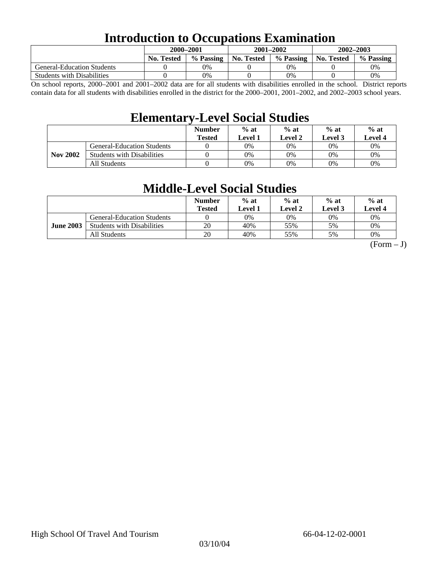## **Introduction to Occupations Examination**

|                                   | 2000-2001         |           |            | $2001 - 2002$ | $2002 - 2003$ |           |
|-----------------------------------|-------------------|-----------|------------|---------------|---------------|-----------|
|                                   | <b>No. Tested</b> | % Passing | No. Tested | % Passing     | No. Tested    | % Passing |
| <b>General-Education Students</b> |                   | $0\%$     |            | 0%            |               | 0%        |
| <b>Students with Disabilities</b> |                   | 0%        |            | 0%            |               | 0%        |

On school reports, 2000–2001 and 2001–2002 data are for all students with disabilities enrolled in the school. District reports contain data for all students with disabilities enrolled in the district for the 2000–2001, 2001–2002, and 2002–2003 school years.

## **Elementary-Level Social Studies**

|                 |                                   | <b>Number</b><br><b>Tested</b> | $%$ at<br>Level 1 | $%$ at<br>Level 2 | $%$ at<br>Level 3 | $%$ at<br><b>Level 4</b> |
|-----------------|-----------------------------------|--------------------------------|-------------------|-------------------|-------------------|--------------------------|
|                 | <b>General-Education Students</b> |                                | 0%                | 0%                | 0%                | 0%                       |
| <b>Nov 2002</b> | <b>Students with Disabilities</b> |                                | 0%                | 0%                | 0%                | 0%                       |
|                 | All Students                      |                                | 0%                | 0%                | 0%                | $0\%$                    |

## **Middle-Level Social Studies**

|                  |                                   | <b>Number</b><br>Tested | $%$ at<br>evel 1. | $%$ at<br>Level 2 | $%$ at<br><b>Level 3</b> | $%$ at<br>Level 4 |
|------------------|-----------------------------------|-------------------------|-------------------|-------------------|--------------------------|-------------------|
|                  | <b>General-Education Students</b> |                         | 0%                | 0%                | 0%                       | 0%                |
| <b>June 2003</b> | <b>Students with Disabilities</b> | 20                      | 40%               | 55%               | 5%                       | 0%                |
|                  | All Students                      | 20                      | 40%               | 55%               | 5%                       | 0%                |

 $(Form - J)$